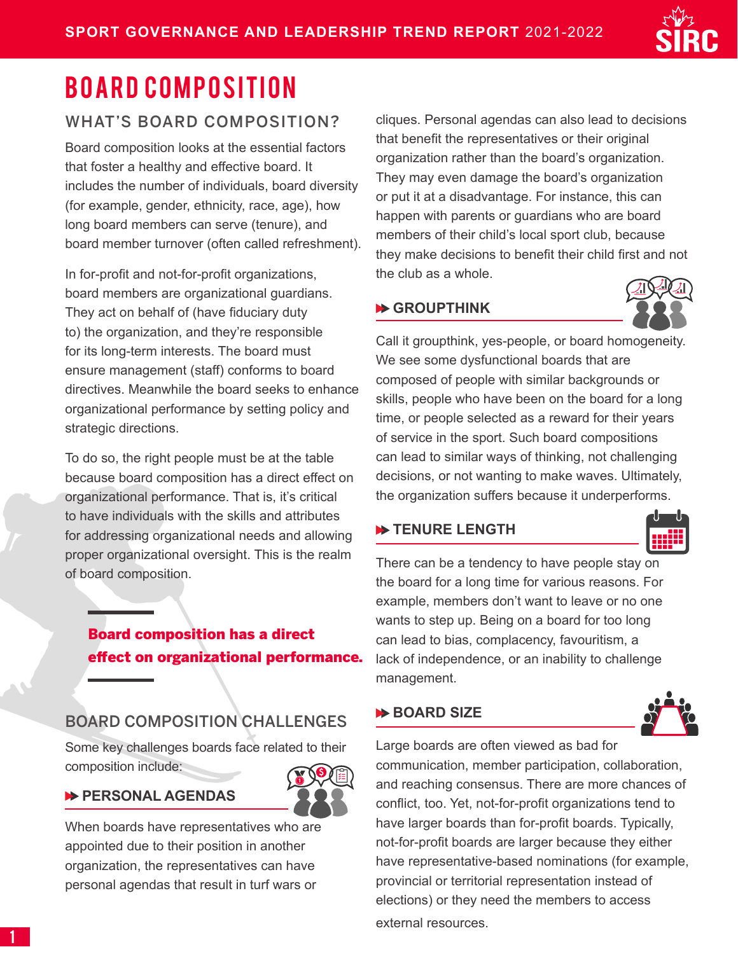

# BOARD COMPOSITION

# WHAT'S BOARD COMPOSITION?

Board composition looks at the essential factors that foster a healthy and effective board. It includes the number of individuals, board diversity (for example, gender, ethnicity, race, age), how long board members can serve (tenure), and board member turnover (often called refreshment).

In for-profit and not-for-profit organizations, board members are organizational guardians. They act on behalf of (have fiduciary duty to) the organization, and they're responsible for its long-term interests. The board must ensure management (staff) conforms to board directives. Meanwhile the board seeks to enhance organizational performance by setting policy and strategic directions.

To do so, the right people must be at the table because board composition has a direct effect on organizational performance. That is, it's critical to have individuals with the skills and attributes for addressing organizational needs and allowing proper organizational oversight. This is the realm of board composition.

# Board composition has a direct effect on organizational performance.

# BOARD COMPOSITION CHALLENGES

Some key challenges boards face related to their composition include:

# **PERSONAL AGENDAS**



When boards have representatives who are appointed due to their position in another organization, the representatives can have personal agendas that result in turf wars or

cliques. Personal agendas can also lead to decisions that benefit the representatives or their original organization rather than the board's organization. They may even damage the board's organization or put it at a disadvantage. For instance, this can happen with parents or guardians who are board members of their child's local sport club, because they make decisions to benefit their child first and not the club as a whole.

## **GROUPTHINK**



Call it groupthink, yes-people, or board homogeneity. We see some dysfunctional boards that are composed of people with similar backgrounds or skills, people who have been on the board for a long time, or people selected as a reward for their years of service in the sport. Such board compositions can lead to similar ways of thinking, not challenging decisions, or not wanting to make waves. Ultimately, the organization suffers because it underperforms.

## **TENURE LENGTH**



There can be a tendency to have people stay on the board for a long time for various reasons. For example, members don't want to leave or no one wants to step up. Being on a board for too long can lead to bias, complacency, favouritism, a lack of independence, or an inability to challenge management.

#### **BOARD SIZE**



Large boards are often viewed as bad for communication, member participation, collaboration, and reaching consensus. There are more chances of conflict, too. Yet, not-for-profit organizations tend to have larger boards than for-profit boards. Typically, not-for-profit boards are larger because they either have representative-based nominations (for example, provincial or territorial representation instead of elections) or they need the members to access external resources.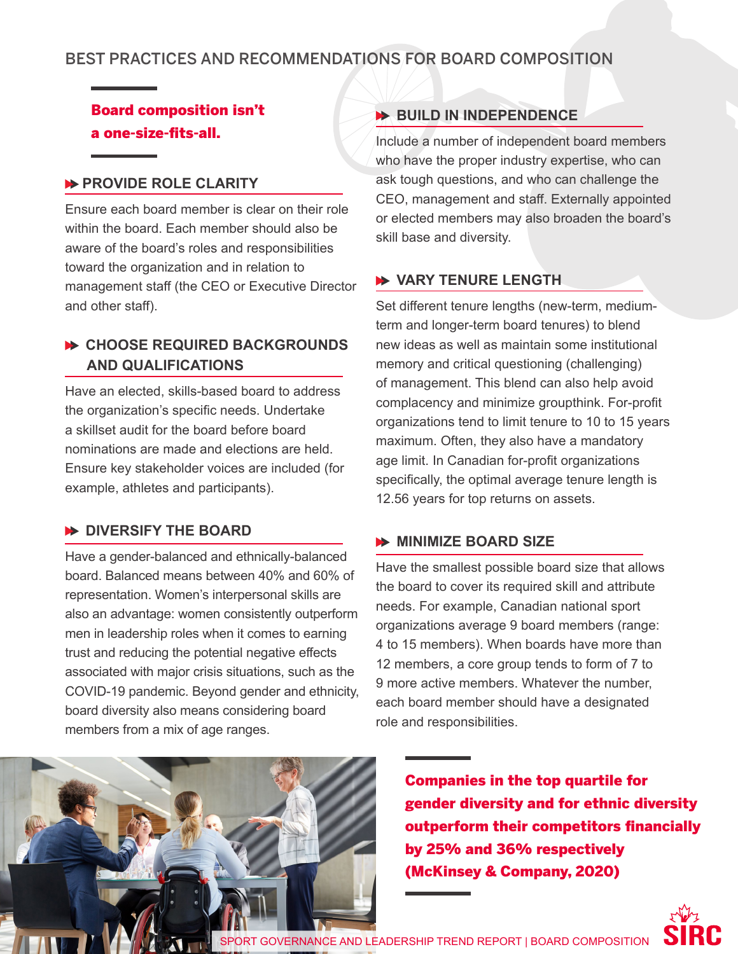## BEST PRACTICES AND RECOMMENDATIONS FOR BOARD COMPOSITION

# Board composition isn't a one-size-fits-all.

#### **PROVIDE ROLE CLARITY**

Ensure each board member is clear on their role within the board. Each member should also be aware of the board's roles and responsibilities toward the organization and in relation to management staff (the CEO or Executive Director and other staff).

#### **CHOOSE REQUIRED BACKGROUNDS AND QUALIFICATIONS**

Have an elected, skills-based board to address the organization's specific needs. Undertake a skillset audit for the board before board nominations are made and elections are held. Ensure key stakeholder voices are included (for example, athletes and participants).

#### **DIVERSIFY THE BOARD**

Have a gender-balanced and ethnically-balanced board. Balanced means between 40% and 60% of representation. Women's interpersonal skills are also an advantage: women consistently outperform men in leadership roles when it comes to earning trust and reducing the potential negative effects associated with major crisis situations, such as the COVID-19 pandemic. Beyond gender and ethnicity, board diversity also means considering board members from a mix of age ranges.



## **BUILD IN INDEPENDENCE**

Include a number of independent board members who have the proper industry expertise, who can ask tough questions, and who can challenge the CEO, management and staff. Externally appointed or elected members may also broaden the board's skill base and diversity.

#### **VARY TENURE LENGTH**

Set different tenure lengths (new-term, mediumterm and longer-term board tenures) to blend new ideas as well as maintain some institutional memory and critical questioning (challenging) of management. This blend can also help avoid complacency and minimize groupthink. For-profit organizations tend to limit tenure to 10 to 15 years maximum. Often, they also have a mandatory age limit. In Canadian for-profit organizations specifically, the optimal average tenure length is 12.56 years for top returns on assets.

#### **BOARD SIZE**

Have the smallest possible board size that allows the board to cover its required skill and attribute needs. For example, Canadian national sport organizations average 9 board members (range: 4 to 15 members). When boards have more than 12 members, a core group tends to form of 7 to 9 more active members. Whatever the number, each board member should have a designated role and responsibilities.

Companies in the top quartile for gender diversity and for ethnic diversity outperform their competitors financially by 25% and 36% respectively (McKinsey & Company, 2020)

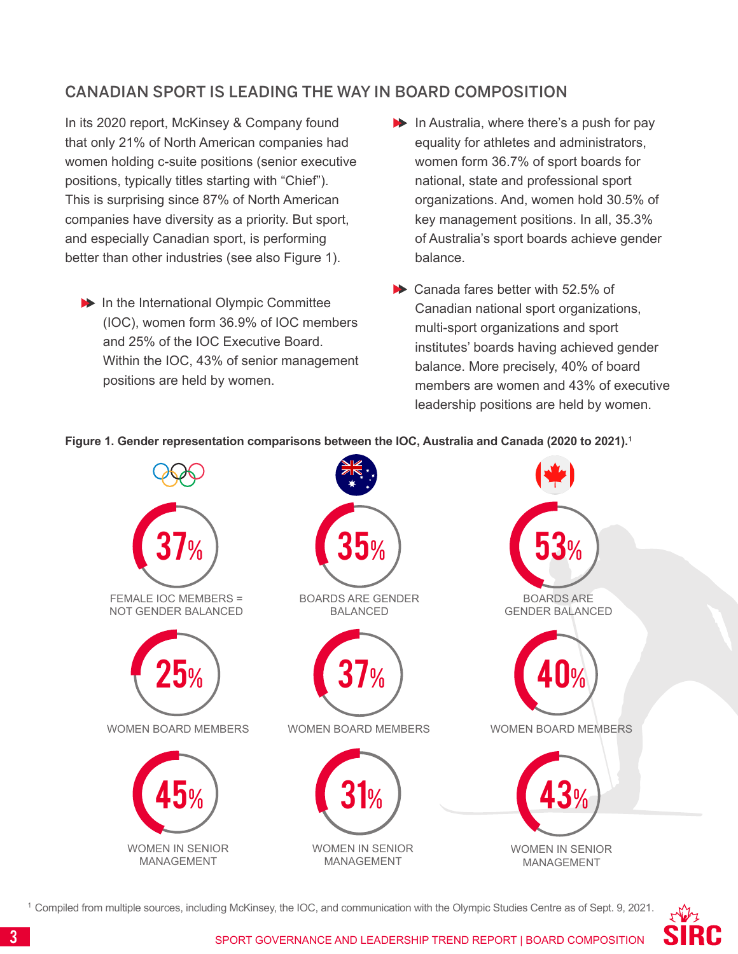## CANADIAN SPORT IS LEADING THE WAY IN BOARD COMPOSITION

In its 2020 report, McKinsey & Company found that only 21% of North American companies had women holding c-suite positions (senior executive positions, typically titles starting with "Chief"). This is surprising since 87% of North American companies have diversity as a priority. But sport, and especially Canadian sport, is performing better than other industries (see also Figure 1).

- In the International Olympic Committee (IOC), women form 36.9% of IOC members and 25% of the IOC Executive Board. Within the IOC, 43% of senior management positions are held by women.
- **1** In Australia, where there's a push for pay equality for athletes and administrators, women form 36.7% of sport boards for national, state and professional sport organizations. And, women hold 30.5% of key management positions. In all, 35.3% of Australia's sport boards achieve gender balance.
- **EXECANDED** Canada fares better with 52.5% of Canadian national sport organizations, multi-sport organizations and sport institutes' boards having achieved gender balance. More precisely, 40% of board members are women and 43% of executive leadership positions are held by women.



**Figure 1. Gender representation comparisons between the IOC, Australia and Canada (2020 to 2021).1**

<sup>1</sup> Compiled from multiple sources, including McKinsey, the IOC, and communication with the Olympic Studies Centre as of Sept. 9, 2021.